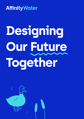

# **Designing Our Future Together**

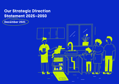## **Our Strategic Direction Statement 2025–2050**

### **December 2021**

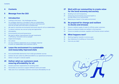### **Message from the CEO**

### **Introduction**

- Looking to the future the challenges we face
- Our strategic direction is founded in what our stakeholders, communities and customers want now and in the future and how we can best work with them to achieve that
- We need to maximise environmental and social value for all our stakeholders
- To reduce customer use, we are trying new approaches
- Affordability
- Environmental and social governance
- We need to deliver improvements through investments in efficiency, innovation and our people
- Digital technologies
- Our culture
- Our four ambition statements are our strategic response to what our stakeholders and customers told us

### **Leave the environment in a sustainable and measurably improved state**

- End unsustainable abstraction from chalk groundwater sources
- Achieve net zero carbon by 2045 (and 2030 for our operational emissions)
- Deliver a net gain in natural capital

### **Deliver what our customers need, ensuring affordability for all**

- Exceed customers' expectations for drinking water
- Personalise our services to support different wants and needs
- Take care of our vulnerable customers and ensure affordability for all

### **Work with our communities to create value for the local economy and society**

- Building trust and transparency Enhancing environmental and social health to provide value to our communities
- Reducing our impact in the water environment

### **Be prepared for change and resilient to shocks and stresses**

- Ensure a resilient supply of water for Affinity water customers
- Ensure our physical assets are resilient in the long term
- Ensure our people, processes, suppliers and finances remain resilient

### **What happens next?**

- Working together towards a common goal
- Key milestones for building our future plans
- How can you help?

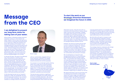### **I am delighted to present our long term vision for taking care of your water.**

Affinity Water's refreshed strategic direction statement comes at a vital time for the water industry in the run up to the next price review, and at a time when the world around us is in great flux. While the pandemic has shown the resilience of the sector, it has changed everyone's lives and the effects will continue to shape society for many years to come. Climate change and environmental protection are now firmly at the top of the agenda for customers, stakeholders and policymakers alike. And at the same time, there is renewed concern over protecting the most disadvantaged in our society.

In the past 30 years, the sector has delivered clear improvements in drinking water quality and environmental protection but we cannot stand still. Over the next 30 years, climate change, population growth and increased expectations from the public will put unprecedented pressures on water companies. We are at an inflection point where the future will be very different to what we are seeing today. As a provider of a local service backed by private investment, we have a unique role to play to create public value in the local economy and society.

In this document we set out our long-term ambitions to 2050, the challenges we face and the huge opportunities for our company arising from these challenges. We have cocreated our strategic direction statement

with our communities, engaged with our local customers, listened to our people and key stakeholders to ensure we have shared outcomes and common purposes.

Our purpose is to provide high quality drinking water and to take care of the environment for our communities now and in the future, reflecting the basics that our stakeholders expect of us. In this document, we set out four ambition statements that will help us deliver our purpose, focused on the environment, resilience, customers and communities.

The area we serve contains a significant proportion of globally rare chalk streams that are environmentally important. We commit to ending unsustainable abstraction from the ground beneath these streams by finding

We think bills will need to increase to pay for the improvements required to ensure we can maintain high quality and resilient supplies of water, and deliver real benefits to the environment. We will need to make sure our plans are affordable for the customers we serve and for our business.

### **To start the work on our Strategic Direction Statement we imagined the future in 2050.**

alternative sources. We will work with our customers and communities to reduce wasted water, and work with universities, colleges and supply chain partners to find ever more innovative ways of tackling leakage, and reduce the need to abstract water from the environment. We will continually explore the wants and needs of our different communities, which may lead us to deliver different services, for example tailored customer service.

However, we cannot act alone and we need to work in close partnership with others if we are to achieve our objectives. Covid-19 has shown we can all adjust rapidly to transform our ways of working, but we will need to become ever more agile as the need to deliver more for the environment and for our communities will continue to increase.

We are developing our long-term plan, recognising that parts of it may ultimately be delivered by partners and with others help. It may be that new funding methods can alleviate pressure on customer bills. Our current investors continue to be extremely supportive of Affinity Water and the industry and have forgone dividends in recent years, but this is not sustainable in the long term. To maintain the stability of the industry and a steady supply of investment, our investors need returns commensurate with the level of risk involved in supporting us to deliver our service.

We need Government to set out priorities such as labelling and standards to help people reduce their water usage, and regulation to evolve to enable us to deliver more of what customers want. We also need regulators to work together and be focused on more

outcome-based solutions, for example working with RAPID to achieve regional water resources planning, and considering a move from focusing on leakage and Per Capita Consumption to water abstracted from the environment.

This strategic direction statement will change and evolve over the years to match the ambition and needs of all our stakeholders, and the progress we are making towards realising our vision. Our business plans at price reviews are stepping stones to achieving our long term ambitions, and we must deliver our plans in collaboration with our customers and communities. We look forward to working with you to make our vision a reality.

#### **Stuart Ledger CEO Affinity Water**



# **Message from the CEO**



Stuart Ledger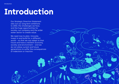Our Strategic Direction Statement sets out our long-term ambitions to 2050, the challenges we face, and the huge opportunities for society, our company and the wider water sector to create value.

We need now to plan, innovate, invest in and build for, a different world – so that we can adapt to that future and have a resilient economy, society and environment – and we do not allow current and future generations to suffer the consequences of indecision or inaction.



# **Introduction**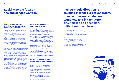### **Our strategic direction is founded in what our stakeholders, communities and customers want now and in the future and how we can best work**  Climate change is making while the population is set<br> **Environmental damage worse** to grow significantly **with them to achieve that**

### **Looking to the future – the challenges we face**

### **environmental damage worse and reducing resilience**

Climate change and population growth are, already, putting increasing pressure on the water environment in England and across the globe. Climate change threatens resilience of the environment from where we get our supplies and water supply itself. By the 2050s, summer temperatures are likely to increase while summer rainfall decreases, leading to increased risk of droughts. Extreme weather brought about by climate change will result in more frequent natural disasters and lasting environment damage.

The National Infrastructure Commission (NIC) estimates a 25% chance of the worst drought in recorded history happening within the next 30 years. And droughts have a massive impact on the UK economy – NIC estimate that a severe drought could cost our economy £40 billion.

In an Environment Agency projection consistent with 4°C global warming by 2100, local sea level rise could be more than 2m for London. Brightlingsea is only 30cm above sea level. Even larger rises are possible with higher warming and/or if the sea level responds more rapidly, for example if marine ice sheets were to collapse entirely. This would put swathes of our supply area under water if we don't respond and adapt. It also increases the risk of seawater incursion into the underground aquifers we take water from in coastal areas.

#### **While the population is set to grow significantly**

As a drinking water supplier to around 13% of London we take our responsibility very seriously. We have to be brilliant at operating our assets, and we have to be brilliant at responding quickly and effectively.

ONS forecasts that the population in England will grow by around 8% by 2041, with a large part of this growth occurring in areas where water is already scarce. The South East where we operate is seeing a lot of new housing to support economic growth with an estimated one million new homes required by 2050 in the Thames Estuary (running to the Oxford-Cambridge corridor in the north and therefore impacting our central operating area).

All of these people and businesses will need clean drinking water at affordable prices and at the same time we must protect our natural environment. We need to act and plan now and invest in new planning and digital tools.

#### **We must be resilient to high impact lower probability events**

And then there are other factors we need to plan for – at the time of writing, we are still currently in the grip of a Covid pandemic which was unprecedented – we need to consider the most unexpected events alongside the expected.

We also need to maintain and strengthen our resilience to a range of pressures in the short- and long-term – from pollution of water supplies through to economic depressions, electricity outages or attacks on computer systems.

Before writing our Strategic Direction Statement, we first talked to our stakeholders, our communities and customers. We imagined how the future could look and then asked them what their priorities were.

They wanted us to ensure both a resilient supply of clean water into the future and to protect and improve the environment. From parliamentarians to environmentalists they were not willing to compromise one for the other. They were also clear that they expected us to act with pace and to be bold.

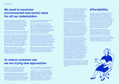### **We need to maximise environmental and social value for all our stakeholders**

Our stakeholders and communities didn't see these challenges in isolation. They said that we needed to think differently about the changes that the situation demands across the whole system. And that we need to think differently about how resilient regional and local ecosystems are to us and how resilient we are to environmental change.

To act with pace we know we need to work with others and we make a commitment to doing so.

We have committed to ending unsustainable abstraction from chalk groundwater sources to protect our globally rare chalk streams. We would like, through reducing our abstractions from underground chalk aquifers, to help restore the natural river flows in the upper reaches of rivers in the Chilterns by 2030 – the rivers Misbourne, Chess, Gade, Bulbourne and Ver – but we need more certainty.

We need early certainty on what is included in the Environment Agency Water Industry National Environment Programme (WINEP) so we can create clear, more cost-effective, roadmaps for delivery on

turning off our abstraction of chalk streams and planning new sources of water.

This will ultimately reduce the long-term cost of changing where we get our water from too. By being able to plan over multiple AMPs, we can invest in the right solutions and make the right strategic decisions at the right time. If we're going to end unsustainable abstraction, as we have committed to doing, we need to work differently.

By working with other sectors in the system such as land managers and farmers we could dramatically benefit the environment and water supply. Researchers at Stanford University are conducting ground-breaking studies into how to manage soils better to actively recharge an aquifer and we are bringing that research to bear by working in partnership with local farmers and research institutes in the region

We need to reduce water demand to sustainable levels – both by reducing leakage and by reducing customer use. We have set ourselves very stretching leakage reduction targets.

### **To reduce customer use, we are trying new approaches**

This year we are investing to provide our customers with metered data relating to their water use and highlighting areas where they could reduce consumption.

Our #WhyNotWater campaign launched in 2019 asking for mandatory water efficiency labels on all goods is leading to key changes to legislation and policy to help ensure long-term water sustainability. So when you see a fridge with a water usage label on it in the future –

that is one example of our strategic thinking as a result of working with stakeholders.

In 2020, we ran a community campaign in St Albans where we measured carefully the water saved using AI and machine learning algorithms to capture every drop. This led to a model enabling real-time data of our per person consumption. In the drive for open data we opened up this model for free to the water industry for others to use.

We are learning from these campaigns how to use social media influencers more effectively - to spread the word. We also found that humour was the best way to get people to see that behaviour needed to change. On the first day that lockdown restrictions were eased, Sandi Toksvig, Mark Watson and Helen Arney joined us to give a stand-up comedy gig from the middle of one of our chalk streams for our Save our Streams campaign.

This campaign is ambitious – we're aiming to save 21 million litres a day in 2021. We are connecting customer water use with the extraction of water from the environment in a clear and visual way. The SOS campaign has currently been seen 21 million times, smashing our targets – we've built a community of over 125,000 users on our digital platform at time of writing. We want to do more meaningful campaigns like this in the future and share what we learn with others in the sector.

We are changing how we work with other sectors and communities too. We are working with a volunteer group in Cambridge on a data hack around our demand patterns to learn more about reducing water use – and we are partnering with water companies, serving some new developments, known as New Appointments and Variations (NAVs), local authorities and developers to create water neutral new homes. We are collaborating with an SME and the University of Birmingham on quantum sensors to pinpoint leaks by looking through the ground – using technology that was purely theoretical until six years ago but that we expect will be developed to the point where they are mounted on drones as we progress through the next 25 years.

And we recognise that we need wider and faster change. Government and regulators have made huge strides in removing blockers to creating a truly sustainable supply of water, and we need to do more.

### **Affordability**

Clearly even more so following the pandemic, we need to make sure that everyone can afford their water bill, but we need to think more carefully about what that means. We welcome the recent Consumer Council for Water report which calls for more investigation into alternative tariff structures. We can see a system where those that can afford it and use more water during peak times pay more, some will pay much less for their essential daily water use, and we will continue to support those that struggle to pay.

We have some customers using up to 9,000 litres per day – when the average household usage is 142 litres per person in England and Wales. Is it fair that the first litre costs the same as the 9,000th?

Our customers and communities increasingly expect the management of our company, along with many others, to be driven by a broad range of environmental and social factors.

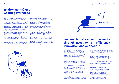### **Environmental and social governance**

We are providing services which are both essential and environmentally sensitive. We recognise that valuing environmental and social impacts is challenging and are looking at the consistency of reporting for the long term. We are a public interest entity and have to ensure that the environment and social service we provide is balanced with that of our shareholders and the wider financial markets.

Like most companies within our industry we are financed through shareholder capital and debt finance. We are managing our longterm debt and keeping the cost of our debt low. Our shareholders are medium-long term investors supportive of the strategic direction that we outline here and have agreed that we can restrict dividends to our shareholders until 2025, supporting company growth.

We need to think hard about interdependencies and to work collaboratively – and urgently

- to understand those and to address them, not only within our water sector but across other sectors. There will also be an impact on our supply chains and upstream infrastructure. This requires a different approach and ways of working. None of us can address these challenges on our own, we are all dependent on each other – businesses, customers, communities, government, regulators, academics.

And it is achievable if we all act together. To provide a sense of scale, UK Government has spent £172 billion at time of writing for measures as a result of the pandemic. The National Infrastructure Commission estimates the additional cost is £21 billion for water sector resilience across the UK. As co-ordinated investment in critical national infrastructure, we believe it is essential for the sector to find that £21 billion to drive the sector's future drought resilience needs.



We recognise that we need to deliver improvements that will create financial, social, and environmental value to ensure we deliver on our purpose - to provide high quality drinking water for our customers and take care of the environment, for our communities now and in the future.

We need to embed our ambitions across our organisation. With the challenges we face we are going to accelerate improvements and create a service and an environment that is sustainable for future generations.

We have an asset base that is aging and will need investment in the future so that we can continue to provide great service to our customers. We will be investing in pumps, mains upgrades, new mains and investment in service reservoirs.

We are adopting a twin-track approach to resilience, investing to improve the security of our supply for the future while at the same





time seeking to reduce customer consumption. We plan to spend about £100m to tackle leaks and deliver a 20% reduction from our 2019/20 baseline by 2025. And then we will do more.

We need to preserve the valuable chalk streams throughout our operating area and we need to find additional sources of water whether this be reservoirs, or abstraction from the Grand Union Canal or the River Thames.

Our Water Resources Management Plan outlines new access to water, improved demand management and increased flexibility. This will be updated again in 2023.

We are leading work with other water companies in the South East of England to encourage the best use of existing resources through the introduction of new sources and transfers of water and to secure the development of additional regional supply resources before 2040, when they will be needed.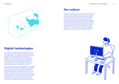#### Introduction Designing our future together 17

- 
- 





### **Digital technologies**

We are investing in digital technology and data to deliver a strategic roadmap for digitisation. Technology and data are fundamental to our success and through transformation programmes we are driving significant change. This includes our new techniques to monitor flows and fast logging and pressure reduction schemes to locate leaks so we can target them more effectively and maximise the amount of water we save; building a 'digital twin' of our supply system so we can stress-test our assets; and working on the progressive digitisation of our data.

We are transforming our end-to-end customer and colleague experiences making sure we get full benefits from mobility and automation in the field. Our self-developed platform Situational Awareness has already delivered significant response time reduction for supply interruptions. It brings together our network data into one screen for our control room and field teams alike. And we will continue to embrace new technologies as they become available, sharing them with our peers to ensure the UK water sector is able to serve both its twin objectives providing clean water for everyone and maintaining and enhancing the environment.

### **Our culture**

We aspire to embed continuous innovation and improvement in everything we do. We are continuing to shift our working practices to be more agile and more responsive, building on what we have learned through the Covid-19 pandemic as well as transforming our customers' experience. We have created a strong culture of learning and development through significant investment in training and are building a culture of coaching and mentoring to release the potential of our people. We have implemented a Business Excellence programme which trains our teams and leaders in using tools like Six Sigma and agile. This is delivering tangible benefits to our customers and our employees and helping us drive efficiencies in our everyday ways of working.

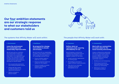#### **4. Communities**

#### **Work with our communities to create value for the local economy and society.**

Create a collaborative relationship with all our communities allowing us to act together with common purpose to deliver a society and environment that are mutually sustainable, based on:

- Building trust and transparency
- Enhancing environmental and social health to provide value to our communities
- Reducing our impact in the water environment

#### **1. Environment**

#### **Leave the environment in a sustainable and measurably improved state.**

We will develop a constructive, collaborative relationship with our customers that enables us work together to deliver for the future.

We will work with our customers and communities to restore the environment into a sustainable state where it can regenerate itself so that it can continue to provide its assets and services to support current and future generations who will enjoy its natural wealth.

We will invest with our stakeholders to create a more resilient community able to cope with and respond to an increasingly uncertain future.

- End unsustainable abstraction from chalk groundwater sources
- Achieve Net Zero Carbon by 2045 (and 2030 for our operational emissions)
- Deliver a net gain in Natural Capital

#### **3. Customers**

#### **Deliver what our customers need, ensuring affordability for all.**

- Exceed customers' expectations for drinking water
- Personalise our services to support different needs and wants
- Take care of our vulnerable customers and ensure affordability for all

#### **2. Resilience**

#### **Be prepared for change, and resilient to shocks and stresses.**

- Ensure a resilient supply of water for our customers
- Ensure our physical assets are resilient for the longterm
- Ensure our people, processes, suppliers and finances remain resilient

**Our four ambition statements are our strategic response to what our stakeholders and customers told us**

### The systems that Affinity Water will work within: The people that Affinity Water will work with:

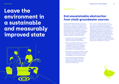# **Leave the environment in a sustainable and measurably improved state**



#### **Strategic focus 1**

### **End unsustainable abstraction from chalk groundwater sources**

Unsustainable abstraction plays a key role impacting our national chalk streams, 10% of which are in our supply area. Chalk streams are a globally rare habitat, confined to north west Europe, with more than 85% of the world's chalk streams found in England. As well as providing water and sustaining an endangered habitat, chalk stream rivers are essential for a range of recreation and health benefits. We have started this vital work through:

- Taking the lead in ending unsustainable abstraction from the groundwater sources that feed our chalk streams.
- Working in partnership with our customers on river restoration and catchment management, such as work completed on the River Gade which has delivered an increase in habitat diversity from aquatic plants to invertebrates and fish.
- Working with our local communities to 'Save our Streams', engaging them on how water saving behaviours can help improve the sustainability of our local environment.
- At the same time we are looking for ways to reduce leakage, improve the resilience of our network and in the future to find regional, sustainable sources of drinking water.

This is a start, and there is much more to do. To get to a sustainable position, we will need to progressively end unsustainable abstraction. To do this we will need to further reduce our leakage, continue to work with our communities to use water sustainably and rapidly develop strategic sources that we can operate sustainably across multiple sectors that take water from our regional environment. We will need to do this in the context of a changing climate situation and a growing population. The scale of this challenge means that we must collaborate to deliver the creative solutions that will deliver our ambition.

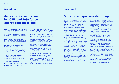### **Achieve net zero carbon by 2045 (and 2030 for our operational emissions)**

#### **Strategic focus 3**

### **Deliver a net gain in natural capital**

Natural capital is that part of nature which directly or indirectly underpins value to people, including ecosystems, species, freshwater, soils, minerals, the air and oceans, as well as natural processes and functions.

We will take a leadership role on naturebased solutions as we rely on ecosystem services including regulation of drought and floods, carbon sequestration and improving water quality – for example in making the best use of our grasslands. Our stakeholders have mandated us to take on this role.

We will develop the partnerships and investment needed to ensure we can provide high quality drinking water and protect the environment. To do this, we will need to make a cultural shift, by considering environmental net gain and the role of partnerships throughout the business – from our strategic planning to our daily operations. We will develop natural capital accounting systems so we can measure and quantify the net gains we are delivering. We have started this journey already through innovating and trialling projects designed to deliver net gain.

For example, one of the projects that Ofwat has approved for innovation funding is the Affinity Water led Seagrass Seeds of Recovery project, which aims to unlock the benefits of marine sequestration at four trial restoration sites. The trial will help us develop a 'blue carbon'

finance framework, understand the scope of seagrass restoration to help the water sector and other industries with significant process emissions, improving biodiversity, improving water quality, supporting fisheries and reducing coastal erosion. Trialling innovative projects is just a starting point, the next stage will be to build capacity and operationalise them.

Using a market-based approach we will work with farmers to plant cover crops on otherwise bare soil. This helps to restore soil health and depth and sequesters carbon. We have been doing this work for several years to reduce the use of nitrogen-based fertilizer and used this as an opportunity to understand carbon sequestration and how our partners in our communities want to work with us. We now propose to expand this to eight million square meters per year by 2025.

Moreover, we are also committed to restoring biodiversity while sequestering carbon. Wildflower meadows on chalk downland are home to an incredibly rich and diverse range of plant and insect life, including many species that don't grow anywhere else. We have lost more than 80% of our chalk grassland since the Second World War. This is mainly because of changes in land use from traditional lowlevel animal grazing to intensive farming methods. We will work with landowners and conservation bodies to restore over 250 hectares of chalk grassland by 2030.

Water is a medium through which we feel the negative impacts of climate change – through drought, storms, flooding and sea level rise. At the same time, water companies continue to add greenhouse gas emissions through our day-to-day operations (such as pumping water) and the infrastructure we build.

Water UK states that the water sector emits 2.4m tonnes CO2e per year. The water sector has committed to achieving net zero operational emissions targets by 2030.

We will achieve Net Zero operational emissions by 2030 through:

- Reducing our carbon footprint (reducing energy use by 7.5% in our operations, reducing demand for water, and working towards a fully electric fleet by 2030);
- Developing 10% self-generated renewable energy (solar and wind);
- Sequestration (trees planting 110,000 by 2030, improving catchments, and seagrass restoration;
- Purchasing 'green electricity' tariffs; and
- Bought offsets for the remainder.

At the same time, we aim to make rapid progress in understanding embodied carbon in our assets, through assessing and mitigating where possible the carbon impact of our investments for our 2025-30 business plans.

Beginning in 2022 we will also make carbon reduction an explicit aspect of our procurement processes for all our supply chain and our progress will be published in a new annual Environmental Sustainability Report. We will also take opportunities to play our part in the circular economy. We will aim to support all of our supply chain having their own Net Zero targets by 2025 and deliver carbon literacy training to all staff. We will work in our communities to reduce use of water. About 20% of a UK average energy bill is from heating water so this can also help communities reduce their energy use.

We will continue with innovative reverse auctions and engagement with farmers to promote better water sensitive farming which in turn creates carbon sinks. All this work will be supported by our voice and advocacy supporting public policy that will accelerate carbon reduction and removal opportunities.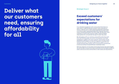### **Exceed customers' expectations for drinking water**

If our detailed engagement with communities finds there is a clear local or regional demand, we don't want customers to have to 'make do', put in water softening equipment piecemeal, or to have to resort to buying bottled water because they want more or something different from their water. We also don't want customers to have to pay twice for water if there are better value options for us to provide the type of water they want.

We will explore with our customer communities what they want from their drinking water now and for the long-term. Our early engagement suggests that some customer communities may be dissatisfied with aspects of their drinking water including water hardness and taste. If we see strong customer support for us to change drinking water locally, and it is economical and practical to do so we will put forward efficient investment cases.

With the collection of more data and bringing forward new technologies we will be able to ensure that every community has the highest quality of water, and we can serve communities to their tastes and requirements.

# **Deliver what our customers need, ensuring affordability for all**

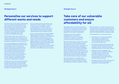### **Personalise our services to support different wants and needs**

We need to gain an ever deeper understanding of who our customer communities are and what different communities want and need. We will develop close relationships so that we truly understand what matters, from the most vulnerable to the most affluent in society. As our understanding deepens, we will be increasingly able to tailor our service to different communities.

We will need to work hard to improve our current service levels, make active use of the insights we generate from our dialogue with communities, and partner with our communities to shape our approach to serving customers.

Our ongoing engagement and collaboration with customers will determine which services we will propose. Part of our long-term journey will be using our understanding to deliver market-leading tailored service to our customers. We aspire to be proactive with information that customers need to know or care about, and not to wait for customers to contact us for help where we have information that could pre-empt a contact. We want to challenge ourselves to serve customers better every day and to ensure our words match our actions.

We also want our tariffs to reward customers who help us improve environmental health through using less water. We will consider how to structure tariffs that reward customers for helping the environment without placing pressure on vulnerable customers.

We are currently working with Experian, the information services company, to connect our data sources and develop a better understanding of our customer base. We have identified seven core customer groups with shared traits and attributes and have mapped these across the regions we serve.

We are combining data from Automated Meter Reading meters with data from logging and network hydraulic models to provide customers with information about water use in their locality. As we build more knowledge of how water is used in our area we are finding that a bespoke approach for ultra-high users is more effective at reducing demand cost-effectively. We will continue to build on our early understanding in this area which is particularly prevalent in our supply zones, which include some of the most affluent parts of the country.

#### **Strategic focus 3**

### **Take care of our vulnerable customers and ensure affordability for all**

We engage with our customers every day to understand more about the things that matter to them. One of the things they tell us is that affordability continues be a key concern, especially in the wake of the pandemic.

Through our work to gain a deeper understanding of our customer communities, our goal for vulnerable customers is to seek out and reach out to those who need our help the most.

We'll work hard to keep our bills as low as they can be, and if we need to change our prices, we'll make sure our customers will always know what this means to them and how we can help them make their bills more affordable. We want water to be affordable and equitable for all. We'll ensure our prices and costs are simple and clear. We'll work with those who can afford to contribute more to help support those members of our communities who need more help. We will proactively make sure everyone who needs extra help and support receives it.

We will be there for our customers when they need tailored service. While we will use technology to help make things easier, there will always be an options to speak to a person. We have piloted an In-House Crisis Fund for our customers and are currently evaluating the pilot outcomes. We are projecting that the number of customers receiving support through our social tariff will increase to 82,000 customers by 2025.

Some examples of our recent work include:

- Publicising our Priority Services Register and promoting our collaboration with the National Debtline charity in order to better help our customers with any debt-related issues.
- Proactively contacting customers who may have been impacted by the pandemic such as people who pay using cash, and have facilitated payment via direct debit instead.
- Helping low income households. We currently support over 80,000 households in receipt of certain benefits with discounted charges via our social tariff, and in 2021 offered three month payment breaks for over 7,000 customers in severe financial hardship.
- Teaming up with seven other utility networks to provide a boost to local community foundations, contributing £15,000.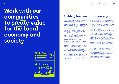# **Work with our communities to create value for the local economy and society**



**Strategic focus 1**

### **Building trust and transparency**

Trust is critical to delivering our common purpose. We must build trust into our relationships with all our communities to deliver mutually beneficial outcomes. We will need trusted relationships with communities ranging from customers, industry, the state, farmers, employees, regulators to shareholders.

Trust with our customer community has improved over time, from around 50% with recent levels at around 60%. We recognise that we have scope to build greater trust with our customers and other communities and are committed to doing this so that we can deliver mutually beneficial outcomes that will benefit society.

We believe that trust comes from transparency Communities have told us that we need to explain our mutual relationship better, seeing challenges through their eyes and not just ours. To collaborate effectively we will need to share information with our communities (where it is right to do so and within the bounds of data protection). Through sharing information about areas where we might be able to collaborate, we can understand where our communities could best contribute to cocreating our future. We expect this process to unlock greater value from developing local services that help us all to adapt.

We also think that people are trusted when they are the people you can see. So we are trying to be open, and present, in our communities. We are open to media scrutiny and work with local authorities to spread our message and provide assistance to customers. For example, we work with adult social care teams in incidents to ensure that all who need support receive it as well as the reassurance that a trusted face can bring. With the decline in regional media and the increase in online media communication we are looking at different ways to highlight the good things we are doing in communities as well as unforeseen interruptions in water supply. We have developed a range of podcasts and are publishing all the speeches that we make to show our thinking around for example water use, planning, infrastructure requirements and the weather as it becomes more extreme.

We have asked our customers what their preference is for interacting with us and have developed a suite of materials that can be used for different demographics and needs – children, the elderly, busy families, the visually impaired and those that do not have access to the internet. We will build on this and continue to adapt to different channels as they emerge, as well as maintaining our use of traditional means of engagement.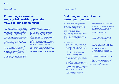### **Reducing our impact in the water environment**

We recognise that to produce and deliver water to customers we are reliant on finite natural resources. Our goal is to work with our customers and communities to reduce waste, using sustainable technologies and renewable sources to minimise our impact on the water environment.

We will need to take steps to reduce leakage and wastage, which are likely to include stepping up our asset replacement rates, innovating and deploying new technologies. We also want to create pathways for our communities to contribute to innovation.

We will work with:

- Policymakers to deliver the introduction of mandatory water efficiency labelling to help customers make informed choices when they come to replace water using devices, and to save significant amounts of water. We estimate this could save 30 litres per person daily.
- Suppliers and housing developers to systematically introduce more opportunities for water reuse in existing and new homes. As part of this, we intend to work with our communities to test technologies such as grey water reuse and rainwater harvesting in new developments, and act on the learnings from these projects to help our customers reduce their use of drinking water. Our goal is to achieve water neutrality for larger new developments.
- Retailers who serve our local nonhouseholds such as businesses and schools to incentivise greater resource efficiency and reuse.
- To introduce services to help major highuse businesses to reduce their usage which makes up the majority of non-household use.
- As an example, we plan to spend about £100m to tackle leaks and deliver a 20% reduction from our 2019/20 baseline, and by 50% by 2050.

Our short-medium term plan is to:

- Fix 50% of visible leaks in 24 hours, 70% within 48 hours and 90% within 5 days.
- Use quantum technologies to detect leaks.
- Use new techniques to monitor flows and fast logging and pressure reduction schemes to locate leaks so we can target them more effectively and maximise the amount of water we save.
- Work with customers to identify and repair leaks on the pipes supplying their homes.
- Help customers to understand their overall water footprint, including the embodied water in the products they use.

In the longer term we will need to continue to innovate and partner to reduce leakage as we drive ever improving performance. This will require an open mindset and collaboration if we are to succeed.

#### **Strategic focus 2**

### **Enhancing environmental and social health to provide value to our communities**

We will negotiate with our communities to build opportunities to collaborate on areas where we have a common purpose, enhancing environmental and societal health regionally. We will use market concepts to ensure the value we jointly create is shared between participants. For example, we work with farmers using online trading platforms to collaborate on improving water quality in the environment. This land management service delivers a host of wider benefits to our communities compared with building an asset. These include carbon sequestration, biodiversity improvements and reducing soil loss.

We will need to find ways of quantifying and distributing the benefits of collaboration with our communities between the communities we are working with (including our customers, shareholders and other communities we collaborate with such as farmers). We will therefore need to consider approaches such as natural capital accounting to understand the value we are generating together with our communities.

Over a generation, we aspire to create substantial value in the order of a billion pounds to our communities through cocreation. We will also work with our communities to promote the designation of the Chilterns Area of Outstanding Natural Beauty as a National Park. We are also exploring the value of securing UNESCO World Heritage biosphere status for chalk streams. We believe that this simple change could bring huge environmental and economic benefits to areas which include areas of high inequality and oftentimes low social mobility.

Markets can also drive innovation and efficiency. Working with the government and our economic regulator, Ofwat, we are looking at ways to further develop markets for developer services –and taking opportunities to meet the growing need for eco-friendly houses.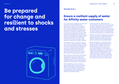# **Be prepared for change and resilient to shocks and stresses**



### **Strategic focus 1**

### **Ensure a resilient supply of water for Affinity water customers**

Our current forecasts suggest that population growth will increase the demand for water within our region by around 10% by 2050. Climate change and our ambition to cease unsustainable abstraction from our groundwater sources will conversely reduce the amount of water we can take from the environment. This means we will have a gap between demand (the amount of water our customers will need) and our ability to supply that water of between 250 and 410 million litres per day by 2050. This is equivalent to the amount of water required to supply between 1.9 million and 3 million customers.

Affinity Water and our customers all have a role to play in addressing this gap. Although we are at an early stage in forming our plans, it is clear that we will need to develop new sources of sustainable water and reduce wastage by going further to drive down the amount of water that leaks from our pipes. Customers will also need to reduce the amount of water they use every day.

We are aiming to reduce water consumption by 130 million litres a day in 2025 from a 2020 baseline. We have started a major campaign called Save Our Streams which is already helping over one hundred thousand customers to save millions of litres per day.

We are delivering in-home and virtual water wastage checks that are immensely popular with customers. Working with a new portal available to all customers we are supporting you faster, delivering more comprehensively and most importantly, delivering your bespoke needs.

By 2030 we will have offered half of our customer base an actual or virtual home water saving visit. Bespoke to them and their needs we will provide products to be fitted and relevant behavioural change advice. Alongside this, we will check to see if our customers have any leaks, in pipes, leaky loos or dripping taps and if found will support you to get them fixed.

By 2050, we will have made even more savings in water consumption, alongside additional leakage reductions, to help us reduce our impact on the environment by reducing the amount we abstract to sustainable levels.

We are transparent in our approach as we develop our Water Resources Management Plans and openly engage customers and stakeholders as our plans evolve. It will not be cost effective (or in some cases technically possible) for Affinity Water to resolve these challenges on our own. We will need to innovate and collaborate with our neighbouring water companies and other communities. We will need to share assets and access to water across the whole South East to ensure that we are all able to meet the needs of our customers in the long term.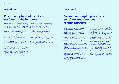### **Ensure our physical assets are resilient in the long term**

Affinity Water has worked with our economic regulator Ofwat to keep bills affordable for all our customers. The sector's approach has been to optimise the lifespan of assets. This means the average age of our assets is increasing, and there comes a point where replacement is needed. Our data indicate that our assets will soon require significant investment.

We are continuously building on our existing understanding of our asset base and how that degrades with time and usage. We plan to build a strong business case for a more sustainable investment in a resilient asset base to both maintain services in the immediate and long term and to reduce our environmental footprint within a generation.

We will work with our regulators to develop our business case, but also to identify the right regulatory mechanisms to ensure we deliver our plans and can finance the investment in a low-cost, sustainable way. We will engage with customers on resilience to make sure our plans reflect the needs, particularly affordability, of future as well as current customers.

We will adopt a broad assessment of value to enable multiple threats to be mitigated or outcomes delivered through a single intervention. For example, enhancing network connectivity to improve availability of supplies to our customers. This type of approach can provide water supply resilience to multiple threats such as outages, drought and contamination.

We will invest in new technologies to provide even more accurate images of our assets, for example the use of low-level satellites, and we will continue to look at the materials that we can use for pumps and pipes to ensure longevity and effectiveness, and that they are all part of lifecycle recycling.

#### **Strategic focus 3**

### **Ensure our people, processes, suppliers and finances remain resilient**

We have learned from the experience of operating during the pandemic and from our operational incidents to ensure our people and supply chains are resilient to shocks and stresses. We are putting in place a culture and structure to make us more resilient in future. We will ensure that our combined resources are sufficient and competent to respond to and recover from risks, shocks and threats that we may face.

We will ensure that our Board continues to have an appropriate, yet diverse, composition of individuals with the right balance of skills, and that our assurance processes continue to help deliver corporate resilience, as well as challenge the executive to deliver operational resilience and maintain our financial resilience.

To maintain transparency about our governance and the involvement of our shareholders in our business, we set out the matters we will consult them about in our 'Consulting with our shareholders' publication to ensure that their interests as shareholders are respected, while maintaining the role of our Board to lead and govern the business.

We are investing in our people, ensuring excellence in everything we do and learning the benefits of flexible, agile working while working from home. We are passionate about enhancing the experience of working for Affinity Water, and are putting in place a culture where we continuously improve our people's career progression, skills, onboarding, and personal development. It is only through investing in our people and culture that we will adapt to ensure the best service possible for all our stakeholders.

We commit to have adequate funding arrangements, cash and standby facilities, to enable us at all times to have the level of funds available for the achievement of our business and service objectives.

Our challenges over the next 25 years will require substantial investment. This means we will explore alternative funding arrangements to ensure that the best value is delivered for customers, Affinity Water and our shareholders.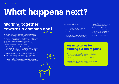# **What happens next?**

We will need to adapt to a very different future and recognise that:

- We are the custodians of our natural capital, and our role is to convene action to protect our local environment.
- The environmental pressures we face are unprecedented, and we must act now .
- The trust of the financing community will be essential to achieve the investment required and maintain affordability for all.

## • We will play our part to deliver

- $\heartsuit$  Regional water resources plans in 2022 will define the solutions and investment needed for water companies in the south east and east of England.
- Our Water Resources Management Plan in 2023 will set out our long-term need for water supply and demand.
- $\odot$  Our Business Plan in 2023 will detail our plan to 2030 and beyond to deliver the ambitions set out in our SDS.
- government policy and we have clear mandate from our communities .
- We will need to do things differently and innovation must play a key role.
- We will need to develop new skills and adapt our business model to enable us to collaborate on delivering our common purpose.

### **Key milestones for building our future plans**

In this document we have set out that we have a mandate from our communities to be bold and brave in our thinking and step up to the serious challenges we face. We have co-created this document with our stakeholders and regulators and engaged with our customers to align shared outcomes and common purpose.

To achieve our purpose, we will need to collaborate, forging stronger relationships with regulators and policy makers to work towards a sustainable future.

- We will need investment and policy change to support our long-term goals to protect the environment, sustain the growth in our areas and respond to increased expectations from our customers. The policy landscape is shifting rapidly. We will draw on our consultation with our customers and communities to be opinion leaders on the outcomes we jointly cherish.
- We are clear that we too will need to adapt to ensure our common purpose with our communities is built on trust and underpinned by an open and transparent approach, sustainable financing and shared value. We will redefine our commitment to our communities to demonstrate we have listened, addressed their concerns, and shared their views and ideas.

## **Working together towards a common goal**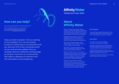Have you been involved in the co-creating of this strategy? If so, we are looking forward to continuing our conversation with you. We want this to be a living document and we will provide updates from our strategic direction statement landing page as we learn more from our communities that helps us develop our direction and the future plans we are preparing.

**Affinity Water** 

Taking care of your water

### **How can you help?**

We are the largest clean water supply company in the United Kingdom, owning and managing the water assets and network in an area of approximately 4,515km² across three supply regions in the South East of England.

Did you enjoy reading about our strategic direction?

If you would like to help us on our journey to a more sustainable future we would love to hear from you at sds@Affinitywater.co.uk

### **About Affinity Water**

We plan to invest £1.44bn in our business during the next four years in order to meet the stretching targets that we have committed to from our regulator, Ofwat and to ensure that we have sufficient capital to allow us to follow our long-term strategy.

We supply drinking water to 3.83 million people every day of the year and we recognise that we have to make sure our water is the right quality, every single time.

We operate 93 water treatment works, distributing our water through a network of over 16,800km of mains pipes.

We invest in, innovate and explore new ideas and techniques to ensure our assets are running at optimum efficiency.

Although we have sufficient water to serve our customers now, we are currently achieving this through abstracting from chalk stream sources – this is not sustainable if we are to protect these internationally rare habitats. And this needs to change.

#### **Our Purpose**

To provide high quality drinking water for our customers and take care of the environment, for our communities now and in the future.

### **Our Vision**

Our vision is to be the UK's leading community-focused water company.

By deeply understanding and responding to the needs of different community groups, we are accountable for delivering their needs.

It reflects the importance we place on our people working within and for the communities where our customers live and work.

By doing this while protecting our environment we will create value for everyone.